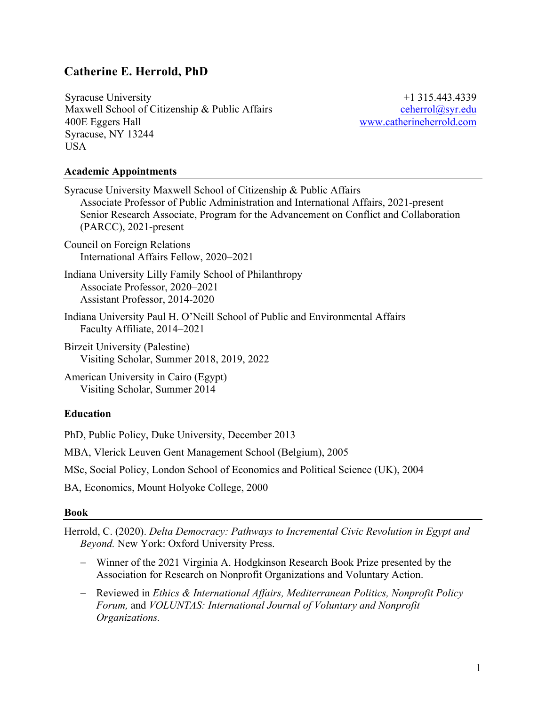# **Catherine E. Herrold, PhD**

Syracuse University Maxwell School of Citizenship & Public Affairs 400E Eggers Hall Syracuse, NY 13244 USA

+1 315.443.4339 ceherrol@syr.edu www.catherineherrold.com

### **Academic Appointments**

| Syracuse University Maxwell School of Citizenship & Public Affairs<br>Associate Professor of Public Administration and International Affairs, 2021-present<br>Senior Research Associate, Program for the Advancement on Conflict and Collaboration<br>$(PARCC), 2021$ -present |
|--------------------------------------------------------------------------------------------------------------------------------------------------------------------------------------------------------------------------------------------------------------------------------|
| Council on Foreign Relations<br>International Affairs Fellow, 2020–2021                                                                                                                                                                                                        |
| Indiana University Lilly Family School of Philanthropy<br>Associate Professor, 2020–2021<br>Assistant Professor, 2014-2020                                                                                                                                                     |
| Indiana University Paul H. O'Neill School of Public and Environmental Affairs<br>Faculty Affiliate, 2014–2021                                                                                                                                                                  |
| Birzeit University (Palestine)<br>Visiting Scholar, Summer 2018, 2019, 2022                                                                                                                                                                                                    |

American University in Cairo (Egypt) Visiting Scholar, Summer 2014

### **Education**

PhD, Public Policy, Duke University, December 2013

MBA, Vlerick Leuven Gent Management School (Belgium), 2005

MSc, Social Policy, London School of Economics and Political Science (UK), 2004

BA, Economics, Mount Holyoke College, 2000

#### **Book**

Herrold, C. (2020). *Delta Democracy: Pathways to Incremental Civic Revolution in Egypt and Beyond.* New York: Oxford University Press.

- Winner of the 2021 Virginia A. Hodgkinson Research Book Prize presented by the Association for Research on Nonprofit Organizations and Voluntary Action.
- Reviewed in *Ethics & International Affairs, Mediterranean Politics, Nonprofit Policy Forum,* and *VOLUNTAS: International Journal of Voluntary and Nonprofit Organizations.*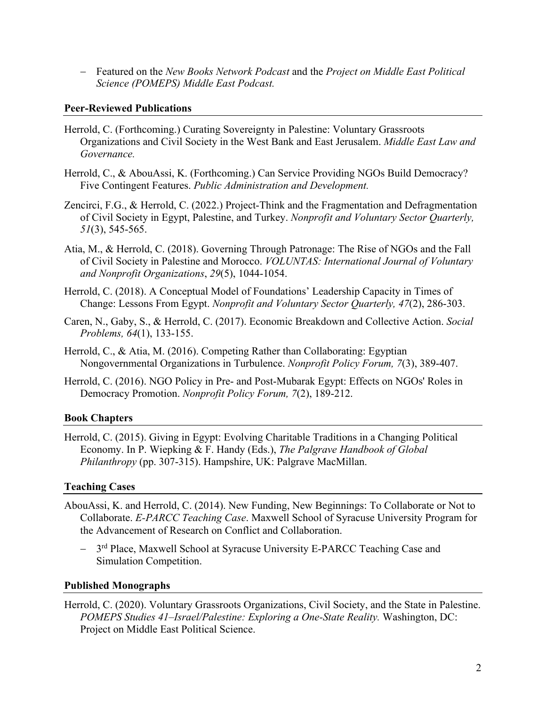- Featured on the *New Books Network Podcast* and the *Project on Middle East Political Science (POMEPS) Middle East Podcast.*

## **Peer-Reviewed Publications**

- Herrold, C. (Forthcoming.) Curating Sovereignty in Palestine: Voluntary Grassroots Organizations and Civil Society in the West Bank and East Jerusalem. *Middle East Law and Governance.*
- Herrold, C., & AbouAssi, K. (Forthcoming.) Can Service Providing NGOs Build Democracy? Five Contingent Features. *Public Administration and Development.*
- Zencirci, F.G., & Herrold, C. (2022.) Project-Think and the Fragmentation and Defragmentation of Civil Society in Egypt, Palestine, and Turkey. *Nonprofit and Voluntary Sector Quarterly, 51*(3), 545-565.
- Atia, M., & Herrold, C. (2018). Governing Through Patronage: The Rise of NGOs and the Fall of Civil Society in Palestine and Morocco. *VOLUNTAS: International Journal of Voluntary and Nonprofit Organizations*, *29*(5), 1044-1054.
- Herrold, C. (2018). A Conceptual Model of Foundations' Leadership Capacity in Times of Change: Lessons From Egypt. *Nonprofit and Voluntary Sector Quarterly, 47*(2), 286-303.
- Caren, N., Gaby, S., & Herrold, C. (2017). Economic Breakdown and Collective Action. *Social Problems, 64*(1), 133-155.
- Herrold, C., & Atia, M. (2016). Competing Rather than Collaborating: Egyptian Nongovernmental Organizations in Turbulence. *Nonprofit Policy Forum, 7*(3), 389-407.
- Herrold, C. (2016). NGO Policy in Pre- and Post-Mubarak Egypt: Effects on NGOs' Roles in Democracy Promotion. *Nonprofit Policy Forum, 7*(2), 189-212.

## **Book Chapters**

Herrold, C. (2015). Giving in Egypt: Evolving Charitable Traditions in a Changing Political Economy. In P. Wiepking & F. Handy (Eds.), *The Palgrave Handbook of Global Philanthropy* (pp. 307-315). Hampshire, UK: Palgrave MacMillan.

## **Teaching Cases**

- AbouAssi, K. and Herrold, C. (2014). New Funding, New Beginnings: To Collaborate or Not to Collaborate. *E-PARCC Teaching Case*. Maxwell School of Syracuse University Program for the Advancement of Research on Conflict and Collaboration.
	- 3<sup>rd</sup> Place, Maxwell School at Syracuse University E-PARCC Teaching Case and Simulation Competition.

# **Published Monographs**

Herrold, C. (2020). Voluntary Grassroots Organizations, Civil Society, and the State in Palestine. *POMEPS Studies 41*–*Israel/Palestine: Exploring a One-State Reality.* Washington, DC: Project on Middle East Political Science.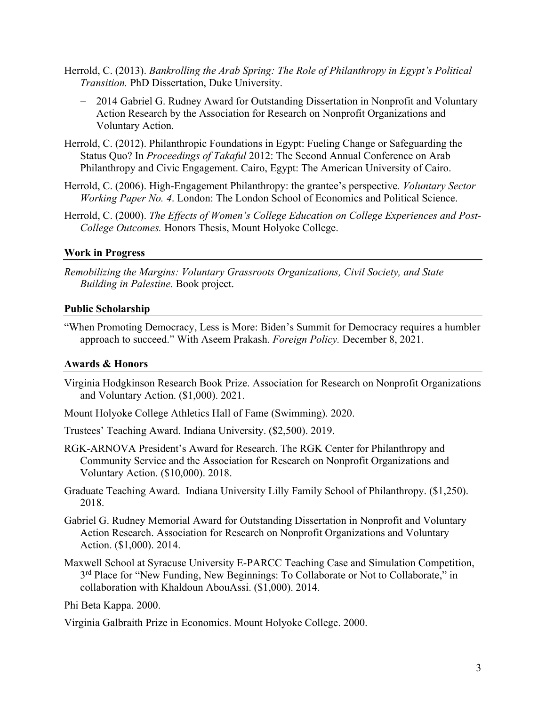- Herrold, C. (2013). *Bankrolling the Arab Spring: The Role of Philanthropy in Egypt's Political Transition.* PhD Dissertation, Duke University.
	- 2014 Gabriel G. Rudney Award for Outstanding Dissertation in Nonprofit and Voluntary Action Research by the Association for Research on Nonprofit Organizations and Voluntary Action.
- Herrold, C. (2012). Philanthropic Foundations in Egypt: Fueling Change or Safeguarding the Status Quo? In *Proceedings of Takaful* 2012: The Second Annual Conference on Arab Philanthropy and Civic Engagement. Cairo, Egypt: The American University of Cairo.
- Herrold, C. (2006). High-Engagement Philanthropy: the grantee's perspective*. Voluntary Sector Working Paper No. 4*. London: The London School of Economics and Political Science.
- Herrold, C. (2000). *The Effects of Women's College Education on College Experiences and Post-College Outcomes.* Honors Thesis, Mount Holyoke College.

### **Work in Progress**

*Remobilizing the Margins: Voluntary Grassroots Organizations, Civil Society, and State Building in Palestine.* Book project.

### **Public Scholarship**

"When Promoting Democracy, Less is More: Biden's Summit for Democracy requires a humbler approach to succeed." With Aseem Prakash. *Foreign Policy.* December 8, 2021.

## **Awards & Honors**

- Virginia Hodgkinson Research Book Prize. Association for Research on Nonprofit Organizations and Voluntary Action. (\$1,000). 2021.
- Mount Holyoke College Athletics Hall of Fame (Swimming). 2020.
- Trustees' Teaching Award. Indiana University. (\$2,500). 2019.
- RGK-ARNOVA President's Award for Research. The RGK Center for Philanthropy and Community Service and the Association for Research on Nonprofit Organizations and Voluntary Action. (\$10,000). 2018.
- Graduate Teaching Award. Indiana University Lilly Family School of Philanthropy. (\$1,250). 2018.
- Gabriel G. Rudney Memorial Award for Outstanding Dissertation in Nonprofit and Voluntary Action Research. Association for Research on Nonprofit Organizations and Voluntary Action. (\$1,000). 2014.
- Maxwell School at Syracuse University E-PARCC Teaching Case and Simulation Competition, 3<sup>rd</sup> Place for "New Funding, New Beginnings: To Collaborate or Not to Collaborate," in collaboration with Khaldoun AbouAssi. (\$1,000). 2014.

Phi Beta Kappa. 2000.

Virginia Galbraith Prize in Economics. Mount Holyoke College. 2000.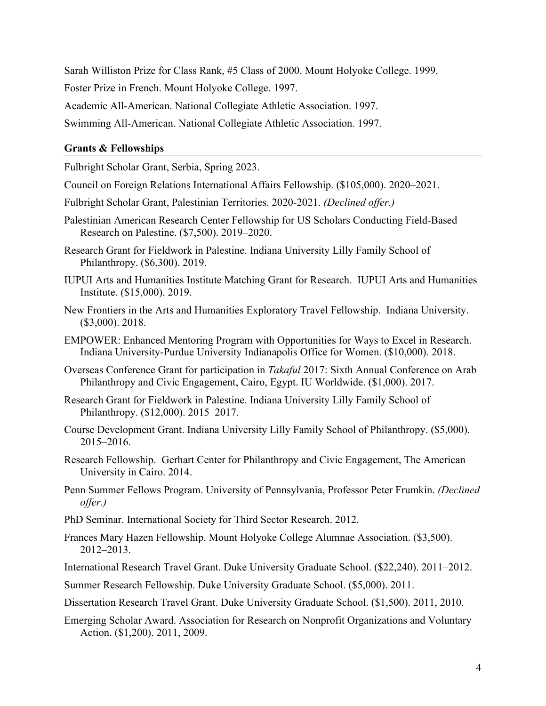Sarah Williston Prize for Class Rank, #5 Class of 2000. Mount Holyoke College. 1999.

Foster Prize in French. Mount Holyoke College. 1997.

Academic All-American. National Collegiate Athletic Association. 1997.

Swimming All-American. National Collegiate Athletic Association. 1997.

# **Grants & Fellowships**

Fulbright Scholar Grant, Serbia, Spring 2023.

- Council on Foreign Relations International Affairs Fellowship. (\$105,000). 2020–2021.
- Fulbright Scholar Grant, Palestinian Territories. 2020-2021. *(Declined offer.)*
- Palestinian American Research Center Fellowship for US Scholars Conducting Field-Based Research on Palestine. (\$7,500). 2019–2020.
- Research Grant for Fieldwork in Palestine. Indiana University Lilly Family School of Philanthropy. (\$6,300). 2019.
- IUPUI Arts and Humanities Institute Matching Grant for Research. IUPUI Arts and Humanities Institute. (\$15,000). 2019.
- New Frontiers in the Arts and Humanities Exploratory Travel Fellowship. Indiana University. (\$3,000). 2018.
- EMPOWER: Enhanced Mentoring Program with Opportunities for Ways to Excel in Research. Indiana University-Purdue University Indianapolis Office for Women. (\$10,000). 2018.
- Overseas Conference Grant for participation in *Takaful* 2017: Sixth Annual Conference on Arab Philanthropy and Civic Engagement, Cairo, Egypt. IU Worldwide. (\$1,000). 2017.
- Research Grant for Fieldwork in Palestine. Indiana University Lilly Family School of Philanthropy. (\$12,000). 2015–2017.
- Course Development Grant. Indiana University Lilly Family School of Philanthropy. (\$5,000). 2015–2016.
- Research Fellowship. Gerhart Center for Philanthropy and Civic Engagement, The American University in Cairo. 2014.
- Penn Summer Fellows Program. University of Pennsylvania, Professor Peter Frumkin. *(Declined offer.)*
- PhD Seminar. International Society for Third Sector Research. 2012.
- Frances Mary Hazen Fellowship. Mount Holyoke College Alumnae Association. (\$3,500). 2012–2013.
- International Research Travel Grant. Duke University Graduate School. (\$22,240). 2011–2012.
- Summer Research Fellowship. Duke University Graduate School. (\$5,000). 2011.
- Dissertation Research Travel Grant. Duke University Graduate School. (\$1,500). 2011, 2010.
- Emerging Scholar Award. Association for Research on Nonprofit Organizations and Voluntary Action. (\$1,200). 2011, 2009.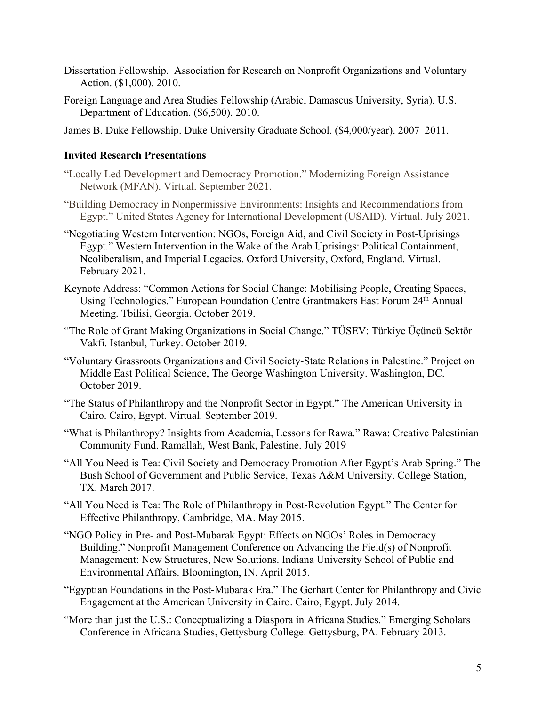- Dissertation Fellowship. Association for Research on Nonprofit Organizations and Voluntary Action. (\$1,000). 2010.
- Foreign Language and Area Studies Fellowship (Arabic, Damascus University, Syria). U.S. Department of Education. (\$6,500). 2010.
- James B. Duke Fellowship. Duke University Graduate School. (\$4,000/year). 2007–2011.

### **Invited Research Presentations**

- "Locally Led Development and Democracy Promotion." Modernizing Foreign Assistance Network (MFAN). Virtual. September 2021.
- "Building Democracy in Nonpermissive Environments: Insights and Recommendations from Egypt." United States Agency for International Development (USAID). Virtual. July 2021.
- "Negotiating Western Intervention: NGOs, Foreign Aid, and Civil Society in Post-Uprisings Egypt." Western Intervention in the Wake of the Arab Uprisings: Political Containment, Neoliberalism, and Imperial Legacies. Oxford University, Oxford, England. Virtual. February 2021.
- Keynote Address: "Common Actions for Social Change: Mobilising People, Creating Spaces, Using Technologies." European Foundation Centre Grantmakers East Forum 24th Annual Meeting. Tbilisi, Georgia. October 2019.
- "The Role of Grant Making Organizations in Social Change." TÜSEV: Türkiye Üçüncü Sektör Vakfi. Istanbul, Turkey. October 2019.
- "Voluntary Grassroots Organizations and Civil Society-State Relations in Palestine." Project on Middle East Political Science, The George Washington University. Washington, DC. October 2019.
- "The Status of Philanthropy and the Nonprofit Sector in Egypt." The American University in Cairo. Cairo, Egypt. Virtual. September 2019.
- "What is Philanthropy? Insights from Academia, Lessons for Rawa." Rawa: Creative Palestinian Community Fund. Ramallah, West Bank, Palestine. July 2019
- "All You Need is Tea: Civil Society and Democracy Promotion After Egypt's Arab Spring." The Bush School of Government and Public Service, Texas A&M University. College Station, TX. March 2017.
- "All You Need is Tea: The Role of Philanthropy in Post-Revolution Egypt." The Center for Effective Philanthropy, Cambridge, MA. May 2015.
- "NGO Policy in Pre- and Post-Mubarak Egypt: Effects on NGOs' Roles in Democracy Building." Nonprofit Management Conference on Advancing the Field(s) of Nonprofit Management: New Structures, New Solutions. Indiana University School of Public and Environmental Affairs. Bloomington, IN. April 2015.
- "Egyptian Foundations in the Post-Mubarak Era." The Gerhart Center for Philanthropy and Civic Engagement at the American University in Cairo. Cairo, Egypt. July 2014.
- "More than just the U.S.: Conceptualizing a Diaspora in Africana Studies." Emerging Scholars Conference in Africana Studies, Gettysburg College. Gettysburg, PA. February 2013.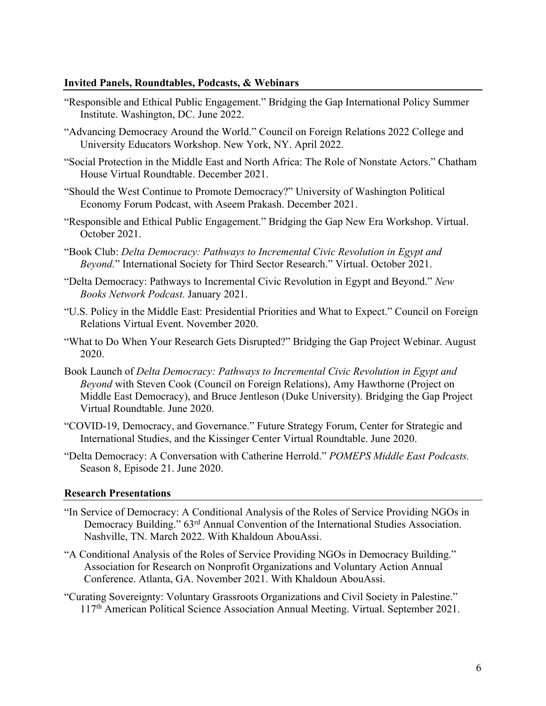### **Invited Panels, Roundtables, Podcasts, & Webinars**

- "Responsible and Ethical Public Engagement." Bridging the Gap International Policy Summer Institute. Washington, DC. June 2022.
- "Advancing Democracy Around the World." Council on Foreign Relations 2022 College and University Educators Workshop. New York, NY. April 2022.
- "Social Protection in the Middle East and North Africa: The Role of Nonstate Actors." Chatham House Virtual Roundtable. December 2021.
- "Should the West Continue to Promote Democracy?" University of Washington Political Economy Forum Podcast, with Aseem Prakash. December 2021.
- "Responsible and Ethical Public Engagement." Bridging the Gap New Era Workshop. Virtual. October 2021.
- "Book Club: *Delta Democracy: Pathways to Incremental Civic Revolution in Egypt and Beyond.*" International Society for Third Sector Research." Virtual. October 2021.
- "Delta Democracy: Pathways to Incremental Civic Revolution in Egypt and Beyond." *New Books Network Podcast.* January 2021.
- "U.S. Policy in the Middle East: Presidential Priorities and What to Expect." Council on Foreign Relations Virtual Event. November 2020.
- "What to Do When Your Research Gets Disrupted?" Bridging the Gap Project Webinar. August 2020.
- Book Launch of *Delta Democracy: Pathways to Incremental Civic Revolution in Egypt and Beyond* with Steven Cook (Council on Foreign Relations), Amy Hawthorne (Project on Middle East Democracy), and Bruce Jentleson (Duke University). Bridging the Gap Project Virtual Roundtable. June 2020.
- "COVID-19, Democracy, and Governance." Future Strategy Forum, Center for Strategic and International Studies, and the Kissinger Center Virtual Roundtable. June 2020.
- "Delta Democracy: A Conversation with Catherine Herrold." *POMEPS Middle East Podcasts.* Season 8, Episode 21. June 2020.

## **Research Presentations**

- "In Service of Democracy: A Conditional Analysis of the Roles of Service Providing NGOs in Democracy Building." 63<sup>rd</sup> Annual Convention of the International Studies Association. Nashville, TN. March 2022. With Khaldoun AbouAssi.
- "A Conditional Analysis of the Roles of Service Providing NGOs in Democracy Building." Association for Research on Nonprofit Organizations and Voluntary Action Annual Conference. Atlanta, GA. November 2021. With Khaldoun AbouAssi.
- "Curating Sovereignty: Voluntary Grassroots Organizations and Civil Society in Palestine." 117th American Political Science Association Annual Meeting. Virtual. September 2021.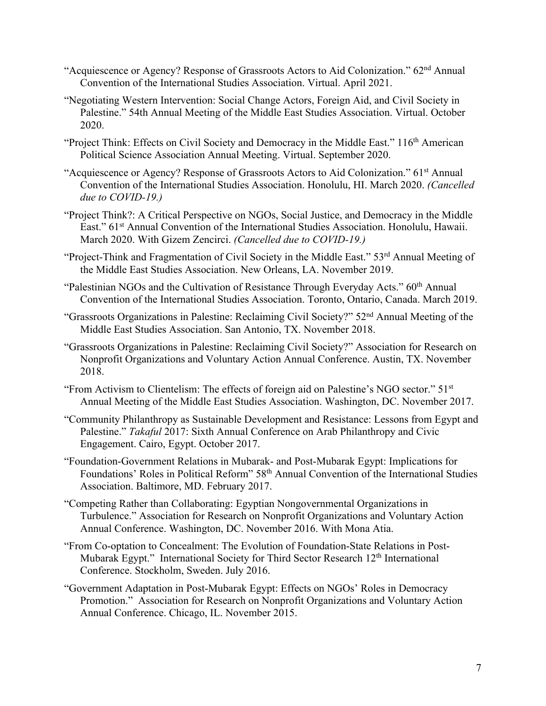- "Acquiescence or Agency? Response of Grassroots Actors to Aid Colonization." 62nd Annual Convention of the International Studies Association. Virtual. April 2021.
- "Negotiating Western Intervention: Social Change Actors, Foreign Aid, and Civil Society in Palestine." 54th Annual Meeting of the Middle East Studies Association. Virtual. October 2020.
- "Project Think: Effects on Civil Society and Democracy in the Middle East." 116<sup>th</sup> American Political Science Association Annual Meeting. Virtual. September 2020.
- "Acquiescence or Agency? Response of Grassroots Actors to Aid Colonization." 61st Annual Convention of the International Studies Association. Honolulu, HI. March 2020. *(Cancelled due to COVID-19.)*
- "Project Think?: A Critical Perspective on NGOs, Social Justice, and Democracy in the Middle East." 61<sup>st</sup> Annual Convention of the International Studies Association. Honolulu, Hawaii. March 2020. With Gizem Zencirci. *(Cancelled due to COVID-19.)*
- "Project-Think and Fragmentation of Civil Society in the Middle East." 53rd Annual Meeting of the Middle East Studies Association. New Orleans, LA. November 2019.
- "Palestinian NGOs and the Cultivation of Resistance Through Everyday Acts." 60<sup>th</sup> Annual Convention of the International Studies Association. Toronto, Ontario, Canada. March 2019.
- "Grassroots Organizations in Palestine: Reclaiming Civil Society?" 52nd Annual Meeting of the Middle East Studies Association. San Antonio, TX. November 2018.
- "Grassroots Organizations in Palestine: Reclaiming Civil Society?" Association for Research on Nonprofit Organizations and Voluntary Action Annual Conference. Austin, TX. November 2018.
- "From Activism to Clientelism: The effects of foreign aid on Palestine's NGO sector." 51st Annual Meeting of the Middle East Studies Association. Washington, DC. November 2017.
- "Community Philanthropy as Sustainable Development and Resistance: Lessons from Egypt and Palestine." *Takaful* 2017: Sixth Annual Conference on Arab Philanthropy and Civic Engagement. Cairo, Egypt. October 2017.
- "Foundation-Government Relations in Mubarak- and Post-Mubarak Egypt: Implications for Foundations' Roles in Political Reform" 58<sup>th</sup> Annual Convention of the International Studies Association. Baltimore, MD. February 2017.
- "Competing Rather than Collaborating: Egyptian Nongovernmental Organizations in Turbulence." Association for Research on Nonprofit Organizations and Voluntary Action Annual Conference. Washington, DC. November 2016. With Mona Atia.
- "From Co-optation to Concealment: The Evolution of Foundation-State Relations in Post-Mubarak Egypt." International Society for Third Sector Research 12<sup>th</sup> International Conference. Stockholm, Sweden. July 2016.
- "Government Adaptation in Post-Mubarak Egypt: Effects on NGOs' Roles in Democracy Promotion." Association for Research on Nonprofit Organizations and Voluntary Action Annual Conference. Chicago, IL. November 2015.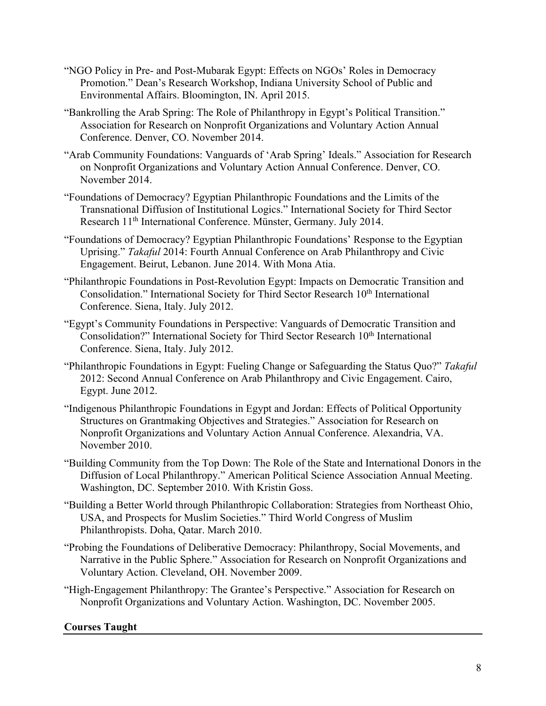- "NGO Policy in Pre- and Post-Mubarak Egypt: Effects on NGOs' Roles in Democracy Promotion." Dean's Research Workshop, Indiana University School of Public and Environmental Affairs. Bloomington, IN. April 2015.
- "Bankrolling the Arab Spring: The Role of Philanthropy in Egypt's Political Transition." Association for Research on Nonprofit Organizations and Voluntary Action Annual Conference. Denver, CO. November 2014.
- "Arab Community Foundations: Vanguards of 'Arab Spring' Ideals." Association for Research on Nonprofit Organizations and Voluntary Action Annual Conference. Denver, CO. November 2014.
- "Foundations of Democracy? Egyptian Philanthropic Foundations and the Limits of the Transnational Diffusion of Institutional Logics." International Society for Third Sector Research 11<sup>th</sup> International Conference. Münster, Germany. July 2014.
- "Foundations of Democracy? Egyptian Philanthropic Foundations' Response to the Egyptian Uprising." *Takaful* 2014: Fourth Annual Conference on Arab Philanthropy and Civic Engagement. Beirut, Lebanon. June 2014. With Mona Atia.
- "Philanthropic Foundations in Post-Revolution Egypt: Impacts on Democratic Transition and Consolidation." International Society for Third Sector Research 10<sup>th</sup> International Conference. Siena, Italy. July 2012.
- "Egypt's Community Foundations in Perspective: Vanguards of Democratic Transition and Consolidation?" International Society for Third Sector Research 10<sup>th</sup> International Conference. Siena, Italy. July 2012.
- "Philanthropic Foundations in Egypt: Fueling Change or Safeguarding the Status Quo?" *Takaful* 2012: Second Annual Conference on Arab Philanthropy and Civic Engagement. Cairo, Egypt. June 2012.
- "Indigenous Philanthropic Foundations in Egypt and Jordan: Effects of Political Opportunity Structures on Grantmaking Objectives and Strategies." Association for Research on Nonprofit Organizations and Voluntary Action Annual Conference. Alexandria, VA. November 2010.
- "Building Community from the Top Down: The Role of the State and International Donors in the Diffusion of Local Philanthropy." American Political Science Association Annual Meeting. Washington, DC. September 2010. With Kristin Goss.
- "Building a Better World through Philanthropic Collaboration: Strategies from Northeast Ohio, USA, and Prospects for Muslim Societies." Third World Congress of Muslim Philanthropists. Doha, Qatar. March 2010.
- "Probing the Foundations of Deliberative Democracy: Philanthropy, Social Movements, and Narrative in the Public Sphere." Association for Research on Nonprofit Organizations and Voluntary Action. Cleveland, OH. November 2009.
- "High-Engagement Philanthropy: The Grantee's Perspective." Association for Research on Nonprofit Organizations and Voluntary Action. Washington, DC. November 2005.

# **Courses Taught**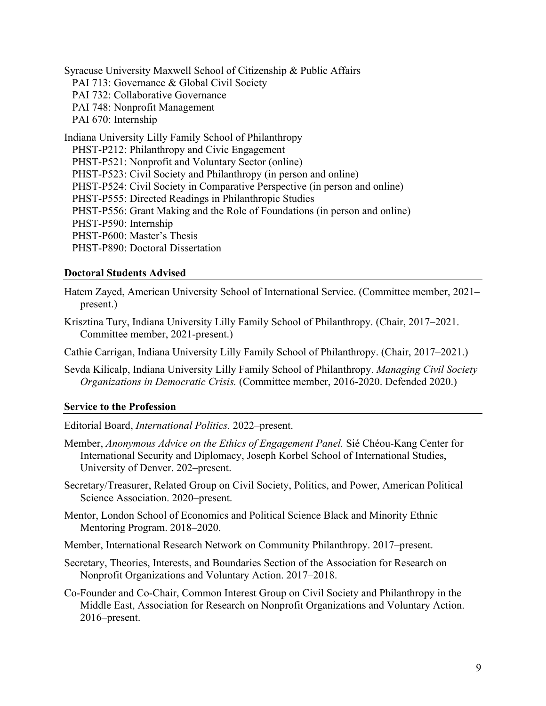Syracuse University Maxwell School of Citizenship & Public Affairs PAI 713: Governance & Global Civil Society PAI 732: Collaborative Governance PAI 748: Nonprofit Management PAI 670: Internship Indiana University Lilly Family School of Philanthropy PHST-P212: Philanthropy and Civic Engagement PHST-P521: Nonprofit and Voluntary Sector (online) PHST-P523: Civil Society and Philanthropy (in person and online) PHST-P524: Civil Society in Comparative Perspective (in person and online) PHST-P555: Directed Readings in Philanthropic Studies PHST-P556: Grant Making and the Role of Foundations (in person and online) PHST-P590: Internship PHST-P600: Master's Thesis PHST-P890: Doctoral Dissertation

### **Doctoral Students Advised**

- Hatem Zayed, American University School of International Service. (Committee member, 2021– present.)
- Krisztina Tury, Indiana University Lilly Family School of Philanthropy. (Chair, 2017–2021. Committee member, 2021-present.)

Cathie Carrigan, Indiana University Lilly Family School of Philanthropy. (Chair, 2017–2021.)

Sevda Kilicalp, Indiana University Lilly Family School of Philanthropy. *Managing Civil Society Organizations in Democratic Crisis.* (Committee member, 2016-2020. Defended 2020.)

### **Service to the Profession**

Editorial Board, *International Politics.* 2022–present.

- Member, *Anonymous Advice on the Ethics of Engagement Panel.* Sié Chéou-Kang Center for International Security and Diplomacy, Joseph Korbel School of International Studies, University of Denver. 202–present.
- Secretary/Treasurer, Related Group on Civil Society, Politics, and Power, American Political Science Association. 2020–present.
- Mentor, London School of Economics and Political Science Black and Minority Ethnic Mentoring Program. 2018–2020.
- Member, International Research Network on Community Philanthropy. 2017–present.
- Secretary, Theories, Interests, and Boundaries Section of the Association for Research on Nonprofit Organizations and Voluntary Action. 2017–2018.
- Co-Founder and Co-Chair, Common Interest Group on Civil Society and Philanthropy in the Middle East, Association for Research on Nonprofit Organizations and Voluntary Action. 2016–present.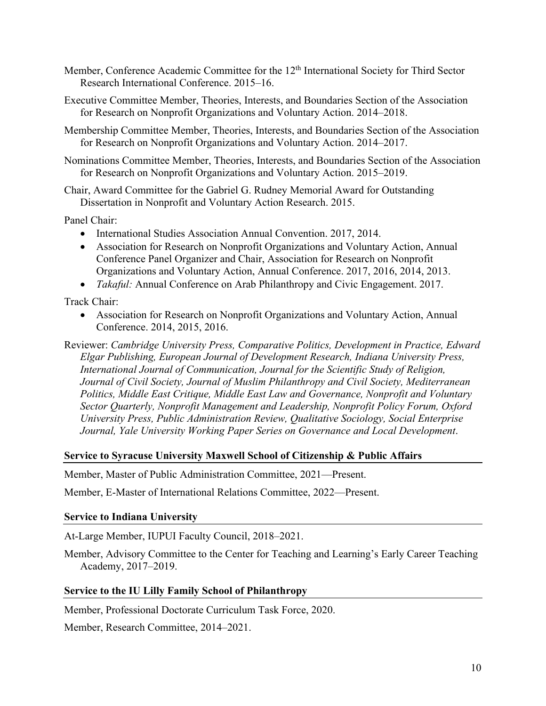- Member, Conference Academic Committee for the 12<sup>th</sup> International Society for Third Sector Research International Conference. 2015–16.
- Executive Committee Member, Theories, Interests, and Boundaries Section of the Association for Research on Nonprofit Organizations and Voluntary Action. 2014–2018.
- Membership Committee Member, Theories, Interests, and Boundaries Section of the Association for Research on Nonprofit Organizations and Voluntary Action. 2014–2017.
- Nominations Committee Member, Theories, Interests, and Boundaries Section of the Association for Research on Nonprofit Organizations and Voluntary Action. 2015–2019.
- Chair, Award Committee for the Gabriel G. Rudney Memorial Award for Outstanding Dissertation in Nonprofit and Voluntary Action Research. 2015.

Panel Chair:

- International Studies Association Annual Convention. 2017, 2014.
- Association for Research on Nonprofit Organizations and Voluntary Action, Annual Conference Panel Organizer and Chair, Association for Research on Nonprofit Organizations and Voluntary Action, Annual Conference. 2017, 2016, 2014, 2013.
- *Takaful:* Annual Conference on Arab Philanthropy and Civic Engagement. 2017.

Track Chair:

- Association for Research on Nonprofit Organizations and Voluntary Action, Annual Conference. 2014, 2015, 2016.
- Reviewer: *Cambridge University Press, Comparative Politics, Development in Practice, Edward Elgar Publishing, European Journal of Development Research, Indiana University Press, International Journal of Communication, Journal for the Scientific Study of Religion, Journal of Civil Society, Journal of Muslim Philanthropy and Civil Society, Mediterranean Politics, Middle East Critique, Middle East Law and Governance, Nonprofit and Voluntary Sector Quarterly, Nonprofit Management and Leadership, Nonprofit Policy Forum, Oxford University Press, Public Administration Review, Qualitative Sociology, Social Enterprise Journal, Yale University Working Paper Series on Governance and Local Development*.

### **Service to Syracuse University Maxwell School of Citizenship & Public Affairs**

Member, Master of Public Administration Committee, 2021—Present.

Member, E-Master of International Relations Committee, 2022—Present.

### **Service to Indiana University**

At-Large Member, IUPUI Faculty Council, 2018–2021.

Member, Advisory Committee to the Center for Teaching and Learning's Early Career Teaching Academy, 2017–2019.

## **Service to the IU Lilly Family School of Philanthropy**

Member, Professional Doctorate Curriculum Task Force, 2020.

Member, Research Committee, 2014–2021.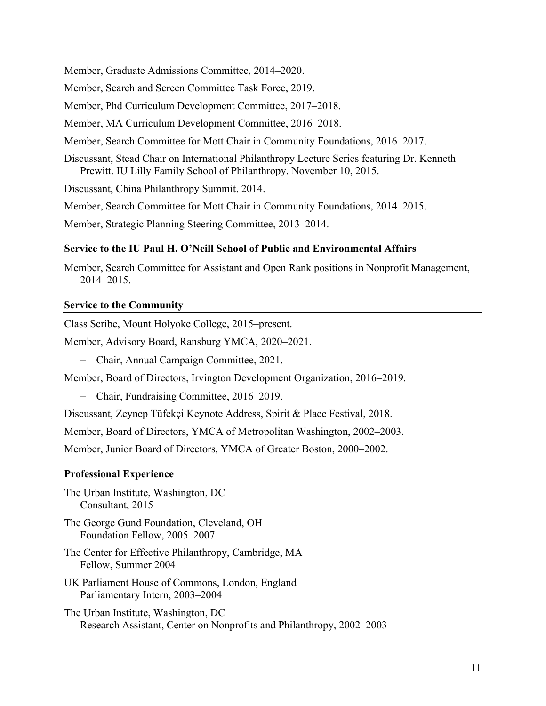Member, Graduate Admissions Committee, 2014–2020.

Member, Search and Screen Committee Task Force, 2019.

Member, Phd Curriculum Development Committee, 2017–2018.

Member, MA Curriculum Development Committee, 2016–2018.

Member, Search Committee for Mott Chair in Community Foundations, 2016–2017.

Discussant, Stead Chair on International Philanthropy Lecture Series featuring Dr. Kenneth Prewitt. IU Lilly Family School of Philanthropy. November 10, 2015.

Discussant, China Philanthropy Summit. 2014.

Member, Search Committee for Mott Chair in Community Foundations, 2014–2015.

Member, Strategic Planning Steering Committee, 2013–2014.

#### **Service to the IU Paul H. O'Neill School of Public and Environmental Affairs**

Member, Search Committee for Assistant and Open Rank positions in Nonprofit Management, 2014–2015.

#### **Service to the Community**

Class Scribe, Mount Holyoke College, 2015–present.

Member, Advisory Board, Ransburg YMCA, 2020–2021.

- Chair, Annual Campaign Committee, 2021.

Member, Board of Directors, Irvington Development Organization, 2016–2019.

- Chair, Fundraising Committee, 2016–2019.

Discussant, Zeynep Tüfekçi Keynote Address, Spirit & Place Festival, 2018.

Member, Board of Directors, YMCA of Metropolitan Washington, 2002–2003.

Member, Junior Board of Directors, YMCA of Greater Boston, 2000–2002.

#### **Professional Experience**

The Urban Institute, Washington, DC Consultant, 2015

The George Gund Foundation, Cleveland, OH Foundation Fellow, 2005–2007

- The Center for Effective Philanthropy, Cambridge, MA Fellow, Summer 2004
- UK Parliament House of Commons, London, England Parliamentary Intern, 2003–2004
- The Urban Institute, Washington, DC Research Assistant, Center on Nonprofits and Philanthropy, 2002–2003